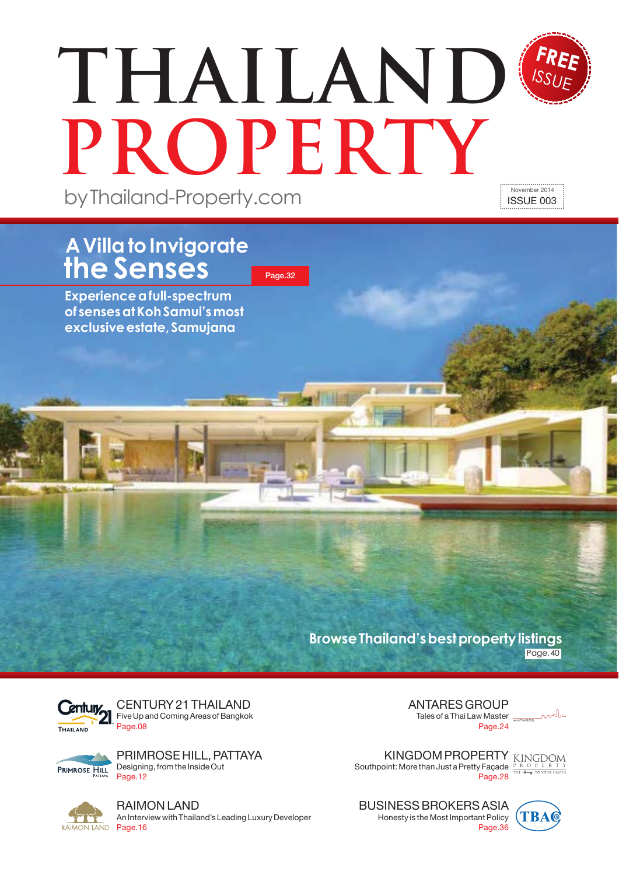# by Thailand-Property.com **THAILAND PROPERTY** November 2014 ISSUE 003

Page.32

## **A Villa to Invigorate the Senses**

**Experience a full-spectrum of senses at Koh Samui's most** exclusive estate, Samujana

> **Browse Thailand's best property listings** Page. 40



CENTURY 21 THAILAND Five Up and Coming Areas of Bangkok Page.08

PRIMROSE HILL, PATTAYA PRIMROSE HILL Designing, from the Inside Out Page.12



RAIMON LAND An Interview with Thailand's Leading Luxury Developer ANTARES GROUP Tales of a Thai Law Master **ANTARES** Page 24

KINGDOM PROPERTY KINGDOM Southpoint: More than Just a Pretty Façade Page.28

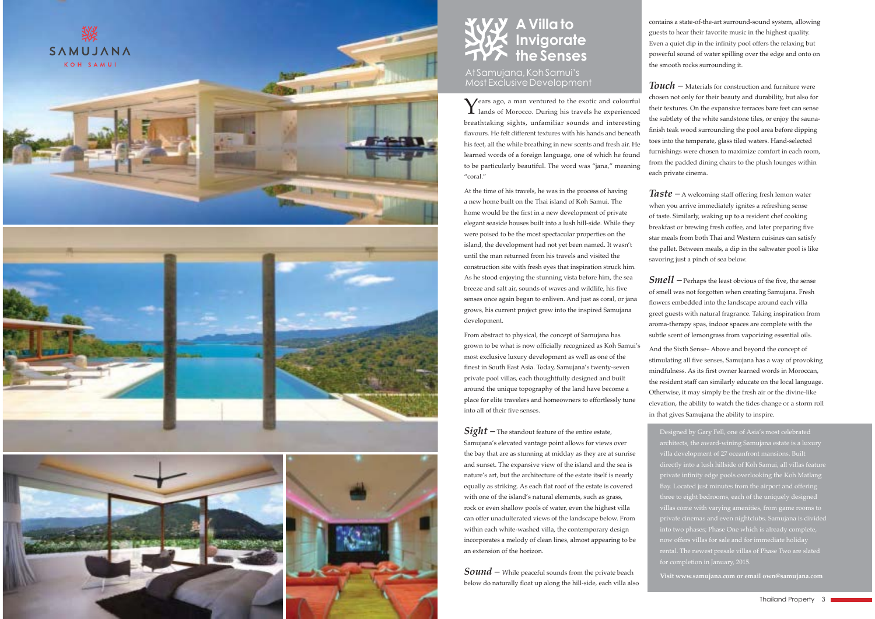





### **A Villa to Invigorate the Senses**

AtSamujana, KohSamuj's Most Exclusive Development

 $\boldsymbol{Y}$ ears ago, a man ventured to the exotic and colourful lands of Morocco. During his travels he experienced breathtaking sights, unfamiliar sounds and interesting flavours. He felt different textures with his hands and beneath his feet, all the while breathing in new scents and fresh air. He learned words of a foreign language, one of which he found to be particularly beautiful. The word was "jana," meaning "coral."

At the time of his travels, he was in the process of having a new home built on the Thai island of Koh Samui. The home would be the first in a new development of private elegant seaside houses built into a lush hill-side. While they were poised to be the most spectacular properties on the island, the development had not vet been named. It wasn't until the man returned from his travels and visited the construction site with fresh eyes that inspiration struck him. As he stood enjoying the stunning vista before him, the sea breeze and salt air, sounds of waves and wildlife, his five senses once again began to enliven. And just as coral, or jana grows, his current project grew into the inspired Samujana development.

From abstract to physical, the concept of Samujana has grown to be what is now officially recognized as Koh Samui's most exclusive luxury development as well as one of the finest in South East Asia. Today, Samujana's twenty-seven private pool villas, each thoughtfully designed and built around the unique topography of the land have become a place for elite travelers and homeowners to effortlessly tune into all of their five senses.

*Sight –* The standout feature of the entire estate, Samujana's elevated vantage point allows for views over the bay that are as stunning at midday as they are at sunrise and sunset. The expansive view of the island and the sea is nature's art, but the architecture of the estate itself is nearly equally as striking. As each flat roof of the estate is covered with one of the island's natural elements, such as grass, rock or even shallow pools of water, even the highest villa can offer unadulterated views of the landscape below. From within each white-washed villa, the contemporary design incorporates a melody of clean lines, almost appearing to be an extension of the horizon.

*Sound –* While peaceful sounds from the private beach below do naturally float up along the hill-side, each villa also contains a state-of-the-art surround-sound system, allowing guests to hear their favorite music in the highest quality. Even a quiet dip in the infinity pool offers the relaxing but powerful sound of water spilling over the edge and onto on the smooth rocks surrounding it.

 $\emph{Touch}$  - Materials for construction and furniture were chosen not only for their beauty and durability, but also for their textures. On the expansive terraces bare feet can sense the subtlety of the white sandstone tiles, or enjoy the saunafinish teak wood surrounding the pool area before dipping toes into the temperate, glass tiled waters. Hand-selected furnishings were chosen to maximize comfort in each room. from the padded dining chairs to the plush lounges within each private cinema.

**Taste** – A welcoming staff offering fresh lemon water when you arrive immediately ignites a refreshing sense of taste. Similarly, waking up to a resident chef cooking breakfast or brewing fresh coffee, and later preparing five star meals from both Thai and Western cuisines can satisfy the pallet. Between meals, a dip in the saltwater pool is like savoring just a pinch of sea below.

**Smell** – Perhaps the least obvious of the five, the sense of smell was not forgotten when creating Samujana. Fresh flowers embedded into the landscape around each villa greet guests with natural fragrance. Taking inspiration from aroma-therapy spas, indoor spaces are complete with the subtle scent of lemongrass from vaporizing essential oils.

And the Sixth Sense-Above and beyond the concept of stimulating all five senses, Samujana has a way of provoking mindfulness. As its first owner learned words in Moroccan, the resident staff can similarly educate on the local language. Otherwise, it may simply be the fresh air or the divine-like elevation, the ability to watch the tides change or a storm roll in that gives Samujana the ability to inspire

Designed by Gary Fell, one of Asia's most celebrated architects, the award-wining Samujana estate is a luxury villa development of 27 oceanfront mansions. Buil directly into a lush hillside of Koh Samui, all villas feature private infinity edge pools overlooking the Koh Matlang Bay. Located just minutes from the airport and offerin three to eight bedrooms, each of the uniquely designed villas come with varying amenities, from game rooms to private cinemas and even nightclubs. Samujana is divided into two phases: Phase One which is already complete. now offers villas for sale and for immediate holida<sup>,</sup> rental. The newest presale villas of Phase Two are slated

**Visit www.samujana.com or email own@samujana.com**